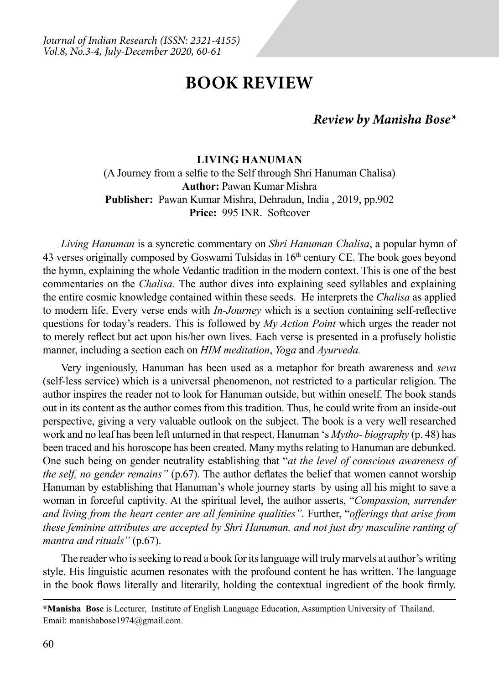# **BOOK REVIEW**

## *Review by Manisha Bose\**

### **Living Hanuman**

(A Journey from a selfie to the Self through Shri Hanuman Chalisa) **Author:** Pawan Kumar Mishra **Publisher:** Pawan Kumar Mishra, Dehradun, India , 2019, pp.902 Price: 995 INR Softcover

*Living Hanuman* is a syncretic commentary on *Shri Hanuman Chalisa*, a popular hymn of 43 verses originally composed by Goswami Tulsidas in  $16<sup>th</sup>$  century CE. The book goes beyond the hymn, explaining the whole Vedantic tradition in the modern context. This is one of the best commentaries on the *Chalisa.* The author dives into explaining seed syllables and explaining the entire cosmic knowledge contained within these seeds. He interprets the *Chalisa* as applied to modern life. Every verse ends with *In-Journey* which is a section containing self-reflective questions for today's readers. This is followed by *My Action Point* which urges the reader not to merely reflect but act upon his/her own lives. Each verse is presented in a profusely holistic manner, including a section each on *HIM meditation*, *Yoga* and *Ayurveda.*

Very ingeniously, Hanuman has been used as a metaphor for breath awareness and *seva*  (self-less service) which is a universal phenomenon, not restricted to a particular religion. The author inspires the reader not to look for Hanuman outside, but within oneself. The book stands out in its content as the author comes from this tradition. Thus, he could write from an inside-out perspective, giving a very valuable outlook on the subject. The book is a very well researched work and no leaf has been left unturned in that respect. Hanuman 's *Mytho- biography* (p. 48) has been traced and his horoscope has been created. Many myths relating to Hanuman are debunked. One such being on gender neutrality establishing that "*at the level of conscious awareness of the self, no gender remains"* (p.67). The author deflates the belief that women cannot worship Hanuman by establishing that Hanuman's whole journey starts by using all his might to save a woman in forceful captivity. At the spiritual level, the author asserts, "*Compassion, surrender and living from the heart center are all feminine qualities".* Further, "*offerings that arise from these feminine attributes are accepted by Shri Hanuman, and not just dry masculine ranting of mantra and rituals"* (p.67).

The reader who is seeking to read a book for its language will truly marvels at author's writing style. His linguistic acumen resonates with the profound content he has written. The language in the book flows literally and literarily, holding the contextual ingredient of the book firmly.

**<sup>\*</sup>Manisha Bose** is Lecturer, Institute of English Language Education, Assumption University of Thailand. Email: manishabose1974@gmail.com.